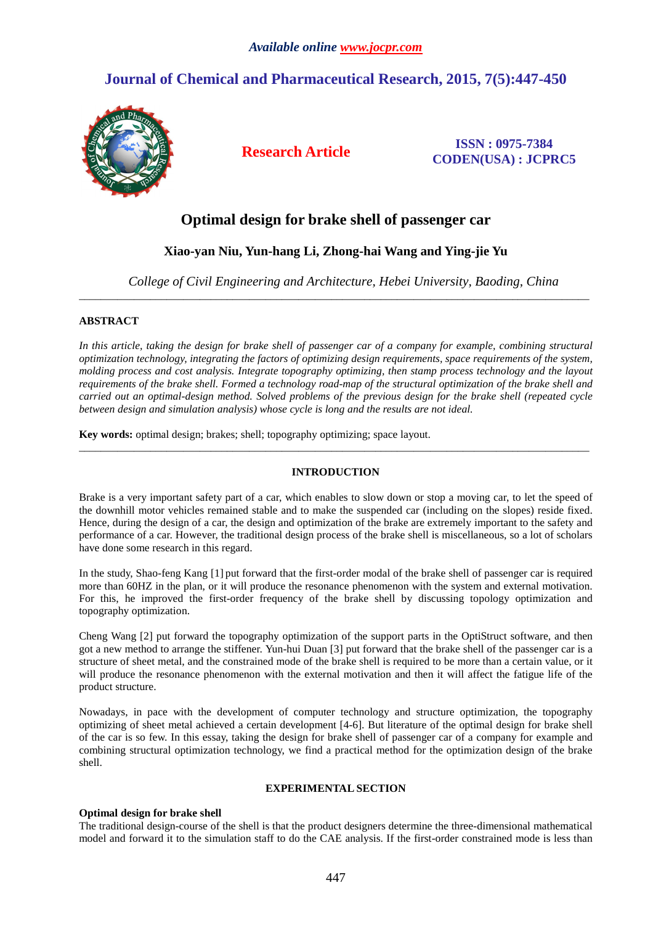# **Journal of Chemical and Pharmaceutical Research, 2015, 7(5):447-450**



**Research Article ISSN : 0975-7384 CODEN(USA) : JCPRC5**

## **Optimal design for brake shell of passenger car**

### **Xiao-yan Niu, Yun-hang Li, Zhong-hai Wang and Ying-jie Yu**

\_\_\_\_\_\_\_\_\_\_\_\_\_\_\_\_\_\_\_\_\_\_\_\_\_\_\_\_\_\_\_\_\_\_\_\_\_\_\_\_\_\_\_\_\_\_\_\_\_\_\_\_\_\_\_\_\_\_\_\_\_\_\_\_\_\_\_\_\_\_\_\_\_\_\_\_\_\_\_\_\_\_\_\_\_\_\_\_\_\_\_\_\_

*College of Civil Engineering and Architecture, Hebei University, Baoding, China* 

#### **ABSTRACT**

In this article, taking the design for brake shell of passenger car of a company for example, combining structural *optimization technology, integrating the factors of optimizing design requirements, space requirements of the system, molding process and cost analysis. Integrate topography optimizing, then stamp process technology and the layout requirements of the brake shell. Formed a technology road-map of the structural optimization of the brake shell and carried out an optimal-design method. Solved problems of the previous design for the brake shell (repeated cycle between design and simulation analysis) whose cycle is long and the results are not ideal.* 

**Key words:** optimal design; brakes; shell; topography optimizing; space layout.

#### **INTRODUCTION**

\_\_\_\_\_\_\_\_\_\_\_\_\_\_\_\_\_\_\_\_\_\_\_\_\_\_\_\_\_\_\_\_\_\_\_\_\_\_\_\_\_\_\_\_\_\_\_\_\_\_\_\_\_\_\_\_\_\_\_\_\_\_\_\_\_\_\_\_\_\_\_\_\_\_\_\_\_\_\_\_\_\_\_\_\_\_\_\_\_\_\_\_\_

Brake is a very important safety part of a car, which enables to slow down or stop a moving car, to let the speed of the downhill motor vehicles remained stable and to make the suspended car (including on the slopes) reside fixed. Hence, during the design of a car, the design and optimization of the brake are extremely important to the safety and performance of a car. However, the traditional design process of the brake shell is miscellaneous, so a lot of scholars have done some research in this regard.

In the study, Shao-feng Kang [1] put forward that the first-order modal of the brake shell of passenger car is required more than 60HZ in the plan, or it will produce the resonance phenomenon with the system and external motivation. For this, he improved the first-order frequency of the brake shell by discussing topology optimization and topography optimization.

Cheng Wang [2] put forward the topography optimization of the support parts in the OptiStruct software, and then got a new method to arrange the stiffener. Yun-hui Duan [3] put forward that the brake shell of the passenger car is a structure of sheet metal, and the constrained mode of the brake shell is required to be more than a certain value, or it will produce the resonance phenomenon with the external motivation and then it will affect the fatigue life of the product structure.

Nowadays, in pace with the development of computer technology and structure optimization, the topography optimizing of sheet metal achieved a certain development [4-6]. But literature of the optimal design for brake shell of the car is so few. In this essay, taking the design for brake shell of passenger car of a company for example and combining structural optimization technology, we find a practical method for the optimization design of the brake shell.

#### **EXPERIMENTAL SECTION**

#### **Optimal design for brake shell**

The traditional design-course of the shell is that the product designers determine the three-dimensional mathematical model and forward it to the simulation staff to do the CAE analysis. If the first-order constrained mode is less than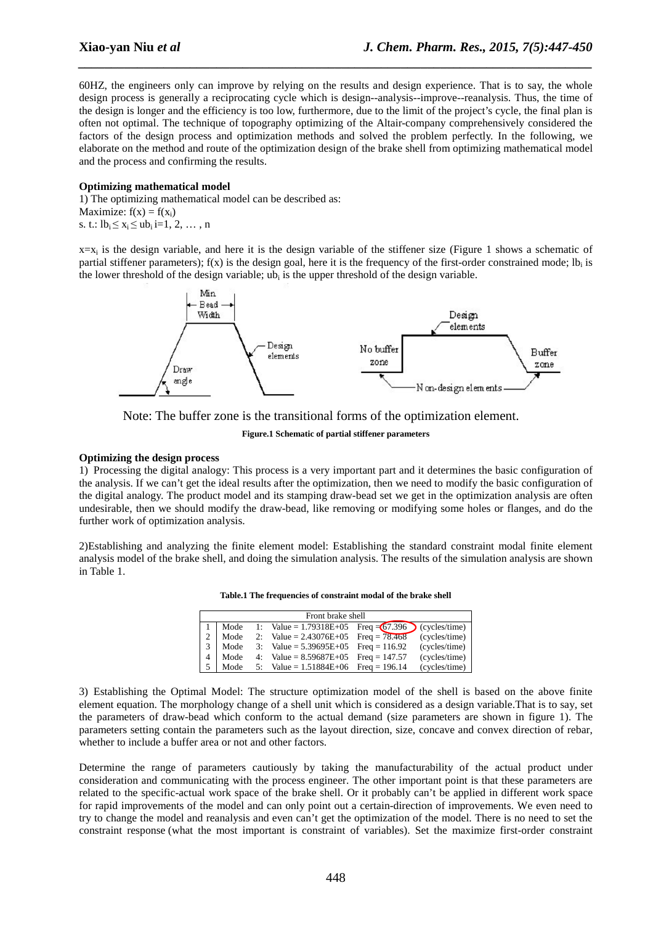60HZ, the engineers only can improve by relying on the results and design experience. That is to say, the whole design process is generally a reciprocating cycle which is design--analysis--improve--reanalysis. Thus, the time of the design is longer and the efficiency is too low, furthermore, due to the limit of the project's cycle, the final plan is often not optimal. The technique of topography optimizing of the Altair-company comprehensively considered the factors of the design process and optimization methods and solved the problem perfectly. In the following, we elaborate on the method and route of the optimization design of the brake shell from optimizing mathematical model and the process and confirming the results.

*\_\_\_\_\_\_\_\_\_\_\_\_\_\_\_\_\_\_\_\_\_\_\_\_\_\_\_\_\_\_\_\_\_\_\_\_\_\_\_\_\_\_\_\_\_\_\_\_\_\_\_\_\_\_\_\_\_\_\_\_\_\_\_\_\_\_\_\_\_\_\_\_\_\_\_\_\_\_*

#### **Optimizing mathematical model**

1) The optimizing mathematical model can be described as: Maximize:  $f(x) = f(x_i)$ s. t.:  $lb_i \le x_i \le ub_i$  i=1, 2, ..., n

 $x=x_i$  is the design variable, and here it is the design variable of the stiffener size (Figure 1 shows a schematic of partial stiffener parameters);  $f(x)$  is the design goal, here it is the frequency of the first-order constrained mode;  $lb_i$  is the lower threshold of the design variable;  $ub_i$  is the upper threshold of the design variable.





**Figure.1 Schematic of partial stiffener parameters** 

#### **Optimizing the design process**

1) Processing the digital analogy: This process is a very important part and it determines the basic configuration of the analysis. If we can't get the ideal results after the optimization, then we need to modify the basic configuration of the digital analogy. The product model and its stamping draw-bead set we get in the optimization analysis are often undesirable, then we should modify the draw-bead, like removing or modifying some holes or flanges, and do the further work of optimization analysis.

2)Establishing and analyzing the finite element model: Establishing the standard constraint modal finite element analysis model of the brake shell, and doing the simulation analysis. The results of the simulation analysis are shown in Table 1.

| Front brake shell |      |  |                                                        |  |               |
|-------------------|------|--|--------------------------------------------------------|--|---------------|
|                   | Mode |  | 1: Value = $1.79318E+05$ Freq = $67.396$ (cycles/time) |  |               |
|                   | Mode |  | 2: Value = $2.43076E+05$ Freq = $78.468$               |  | (cycles/time) |
| 3 <sup>1</sup>    | Mode |  | 3: Value = $5.39695E+05$ Freq = 116.92                 |  | (cycles/time) |
| 4                 | Mode |  | 4: Value = $8.59687E+05$ Freq = 147.57                 |  | (cycles/time) |
|                   | Mode |  | 5: Value = $1.51884E+06$ Freq = 196.14                 |  | (cycles/time) |

3) Establishing the Optimal Model: The structure optimization model of the shell is based on the above finite element equation. The morphology change of a shell unit which is considered as a design variable.That is to say, set the parameters of draw-bead which conform to the actual demand (size parameters are shown in figure 1). The parameters setting contain the parameters such as the layout direction, size, concave and convex direction of rebar, whether to include a buffer area or not and other factors.

Determine the range of parameters cautiously by taking the manufacturability of the actual product under consideration and communicating with the process engineer. The other important point is that these parameters are related to the specific-actual work space of the brake shell. Or it probably can't be applied in different work space for rapid improvements of the model and can only point out a certain-direction of improvements. We even need to try to change the model and reanalysis and even can't get the optimization of the model. There is no need to set the constraint response (what the most important is constraint of variables). Set the maximize first-order constraint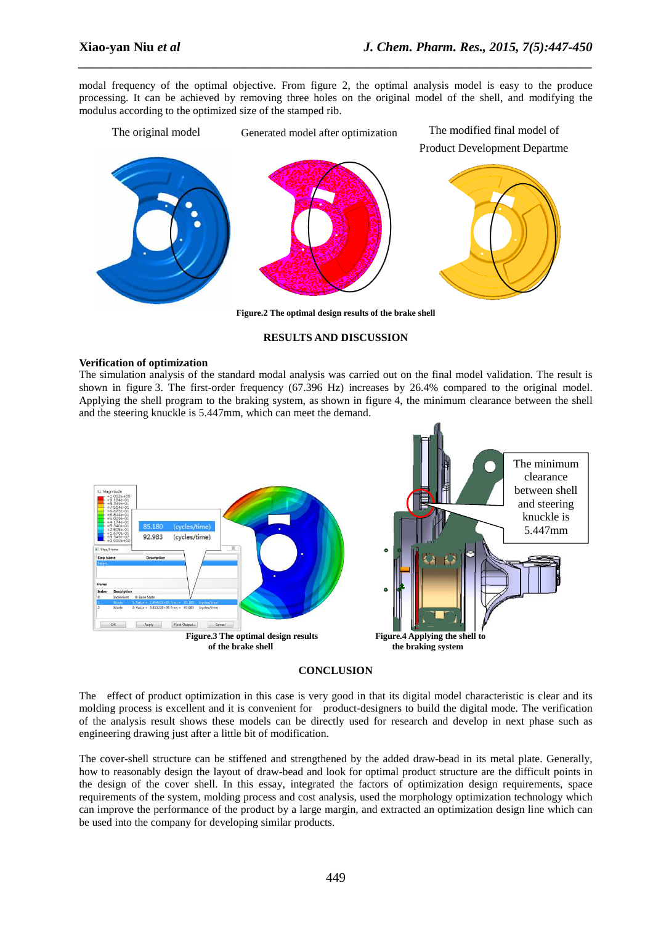modal frequency of the optimal objective. From figure 2, the optimal analysis model is easy to the produce processing. It can be achieved by removing three holes on the original model of the shell, and modifying the modulus according to the optimized size of the stamped rib.

*\_\_\_\_\_\_\_\_\_\_\_\_\_\_\_\_\_\_\_\_\_\_\_\_\_\_\_\_\_\_\_\_\_\_\_\_\_\_\_\_\_\_\_\_\_\_\_\_\_\_\_\_\_\_\_\_\_\_\_\_\_\_\_\_\_\_\_\_\_\_\_\_\_\_\_\_\_\_*

The original model Generated model after optimization The modified final model of Product Development Departme



**Figure.2 The optimal design results of the brake shell** 

#### **RESULTS AND DISCUSSION**

#### **Verification of optimization**

The simulation analysis of the standard modal analysis was carried out on the final model validation. The result is shown in figure 3. The first-order frequency (67.396 Hz) increases by 26.4% compared to the original model. Applying the shell program to the braking system, as shown in figure 4, the minimum clearance between the shell and the steering knuckle is 5.447mm, which can meet the demand.



#### **CONCLUSION**

The effect of product optimization in this case is very good in that its digital model characteristic is clear and its molding process is excellent and it is convenient for product-designers to build the digital mode. The verification of the analysis result shows these models can be directly used for research and develop in next phase such as engineering drawing just after a little bit of modification.

The cover-shell structure can be stiffened and strengthened by the added draw-bead in its metal plate. Generally, how to reasonably design the layout of draw-bead and look for optimal product structure are the difficult points in the design of the cover shell. In this essay, integrated the factors of optimization design requirements, space requirements of the system, molding process and cost analysis, used the morphology optimization technology which can improve the performance of the product by a large margin, and extracted an optimization design line which can be used into the company for developing similar products.